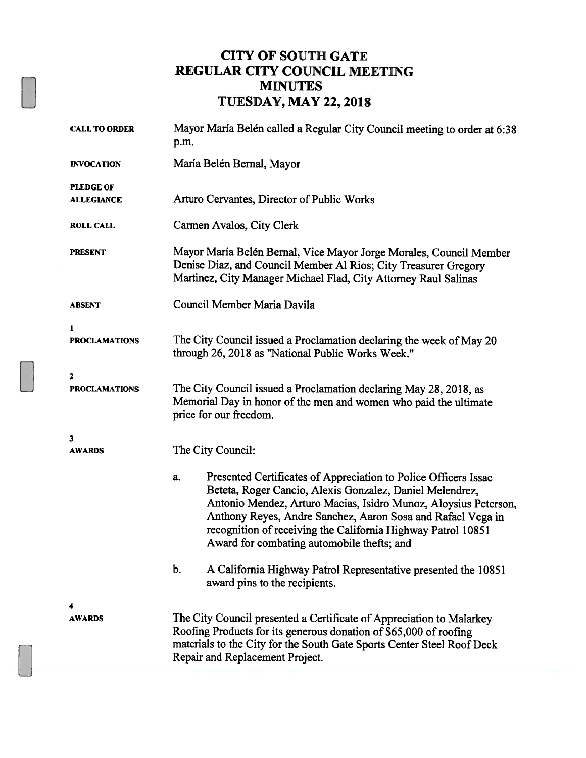## CITY OF SOUTH GATE REGULAR CITY COUNCIL MEETING MINUTES TIJESDAY, MAY 22, 2018

| <b>CALL TO ORDER</b>                  | Mayor María Belén called a Regular City Council meeting to order at 6:38<br>p.m.                                                                                                                                                                                                                                                                                                  |  |  |
|---------------------------------------|-----------------------------------------------------------------------------------------------------------------------------------------------------------------------------------------------------------------------------------------------------------------------------------------------------------------------------------------------------------------------------------|--|--|
| <b>INVOCATION</b>                     | María Belén Bernal, Mayor                                                                                                                                                                                                                                                                                                                                                         |  |  |
| <b>PLEDGE OF</b><br><b>ALLEGIANCE</b> | Arturo Cervantes, Director of Public Works                                                                                                                                                                                                                                                                                                                                        |  |  |
| <b>ROLL CALL</b>                      | Carmen Avalos, City Clerk                                                                                                                                                                                                                                                                                                                                                         |  |  |
| <b>PRESENT</b>                        | Mayor María Belén Bernal, Vice Mayor Jorge Morales, Council Member<br>Denise Diaz, and Council Member Al Rios; City Treasurer Gregory<br>Martinez, City Manager Michael Flad, City Attorney Raul Salinas                                                                                                                                                                          |  |  |
| <b>ABSENT</b>                         | Council Member Maria Davila                                                                                                                                                                                                                                                                                                                                                       |  |  |
| 1<br><b>PROCLAMATIONS</b>             | The City Council issued a Proclamation declaring the week of May 20<br>through 26, 2018 as "National Public Works Week."                                                                                                                                                                                                                                                          |  |  |
| $\mathbf{z}$<br><b>PROCLAMATIONS</b>  | The City Council issued a Proclamation declaring May 28, 2018, as<br>Memorial Day in honor of the men and women who paid the ultimate<br>price for our freedom.                                                                                                                                                                                                                   |  |  |
| 3<br><b>AWARDS</b>                    | The City Council:                                                                                                                                                                                                                                                                                                                                                                 |  |  |
|                                       | Presented Certificates of Appreciation to Police Officers Issac<br>a.<br>Beteta, Roger Cancio, Alexis Gonzalez, Daniel Melendrez,<br>Antonio Mendez, Arturo Macias, Isidro Munoz, Aloysius Peterson,<br>Anthony Reyes, Andre Sanchez, Aaron Sosa and Rafael Vega in<br>recognition of receiving the California Highway Patrol 10851<br>Award for combating automobile thefts; and |  |  |
|                                       | b.<br>A California Highway Patrol Representative presented the 10851<br>award pins to the recipients.                                                                                                                                                                                                                                                                             |  |  |
| 4<br><b>AWARDS</b>                    | The City Council presented a Certificate of Appreciation to Malarkey<br>Roofing Products for its generous donation of \$65,000 of roofing<br>materials to the City for the South Gate Sports Center Steel Roof Deck<br>Repair and Replacement Project.                                                                                                                            |  |  |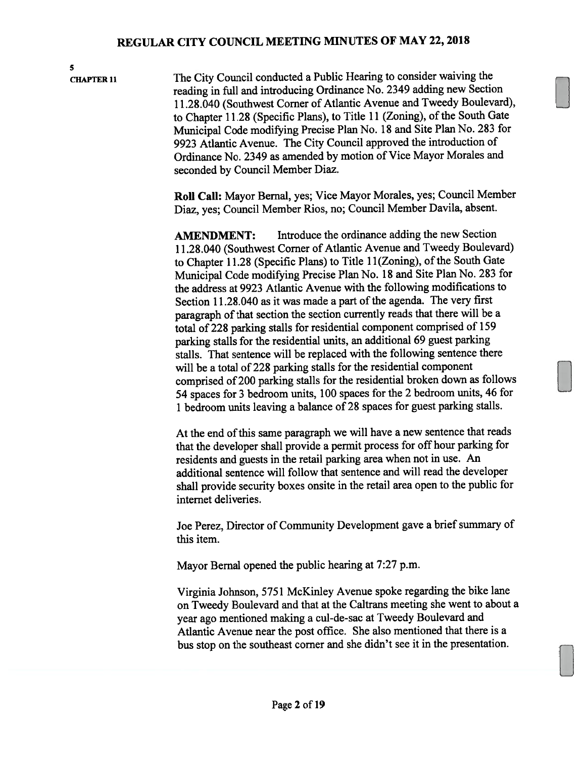5

CHAPTER <sup>11</sup> The City Council conducted <sup>a</sup> Public Hearing to consider waiving the reading in full and introducing Ordinance No. <sup>2349</sup> adding new Section 11.28.040 (Southwest Corner of Atlantic Avenue and Tweedy Boulevard), to Chapter 11.28 (Specific Plans), to Title 11 (Zoning), of the South Gate Municipal Code modifying Precise Plan No. <sup>18</sup> and Site Plan No. <sup>283</sup> for 9923 Atlantic Avenue. The City Council approve<sup>d</sup> the introduction of Ordinance No. <sup>2349</sup> as amended by motion of Vice Mayor Morales and seconded by Council Member Diaz.

> Roll Call: Mayor Bernal, yes; Vice Mayor Morales, yes; Council Member Diaz, yes; Council Member Rios, no; Council Member Davila, absent.

> AMENDMENT: Introduce the ordinance adding the new Section 11.28.040 (Southwest Corner of Atlantic Avenue and Tweedy Boulevard) to Chapter 11.28 (Specific Plans) to Title 11(Zoning), of the South Gate Municipal Code modifying Precise Plan No. <sup>18</sup> and Site Plan No. <sup>283</sup> for the address at 9923 Atlantic Avenue with the following modifications to Section 11.28.040 as it was made <sup>a</sup> par<sup>t</sup> of the agenda. The very first paragraph of that section the section currently reads that there will be a total of <sup>228</sup> parking stalls for residential componen<sup>t</sup> comprised of <sup>159</sup> parking stalls for the residential units, an additional <sup>69</sup> gues<sup>t</sup> parking stalls. That sentence will be replaced with the following sentence there will be <sup>a</sup> total of 228 parking stalls for the residential componen<sup>t</sup> comprised of <sup>200</sup> parking stalls for the residential broken down as follows <sup>54</sup> spaces for <sup>3</sup> bedroom units, <sup>100</sup> spaces for the <sup>2</sup> bedroom units, <sup>46</sup> for <sup>1</sup> bedroom units leaving <sup>a</sup> balance of <sup>28</sup> spaces for gues<sup>t</sup> parking stalls.

> At the end of this same paragraph we will have a new sentence that reads that the developer shall provide <sup>a</sup> permit process for off hour parking for residents and guests in the retail parking area when not in use. An additional sentence will follow that sentence and will read the developer shall provide security boxes onsite in the retail area open to the public for internet deliveries.

> Joe Perez, Director of Community Development gave <sup>a</sup> brief summary of this item.

Mayor Bernal opened the public hearing at 7:27 p.m.

Virginia Johnson, <sup>5751</sup> McKinley Avenue spoke regarding the bike lane on Tweedy Boulevard and that at the Caltrans meeting she went to about <sup>a</sup> year ago mentioned making <sup>a</sup> cul-de-sac at Tweedy Boulevard and Atlantic Avenue near the pos<sup>t</sup> office. She also mentioned that there is <sup>a</sup> bus stop on the southeast corner and she didn't see it in the presentation.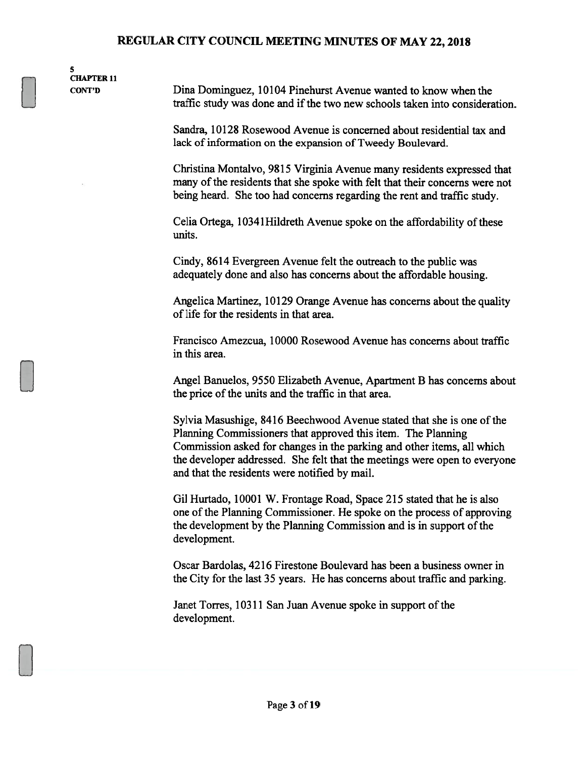5 CHAPTER 11

CONT'D Dma Dominguez, 10104 Pinehurst Avenue wanted to know when the traffic study was done and if the two new schools taken into consideration.

> Sandra, 10128 Rosewood Avenue is concerned about residential tax and lack of information on the expansion of Tweedy Boulevard.

Christina Montalvo, 9815 Virginia Avenue many residents expressed that many of the residents that she spoke with felt that their concerns were not being heard. She too had concerns regarding the rent and traffic study.

Celia Ortega, 10341 Hildreth Avenue spoke on the affordability of these units.

Cindy, 8614 Evergreen Avenue felt the outreach to the public was adequately done and also has concerns about the affordable housing.

Angelica Martinez, 10129 Orange Avenue has concerns about the quality of life for the residents in that area.

Francisco Amezcua, 10000 Rosewood Avenue has concerns about traffic in this area.

Angel Banuelos, 9550 Elizabeth Avenue, Apartment B has concerns about the price of the units and the traffic in that area.

Sylvia Masushige, 8416 Beechwood Avenue stated that she is one of the Planning Commissioners that approved this item. The Planning Commission asked for changes in the parking and other items, all which the developer addressed. She felt that the meetings were open to everyone and that the residents were notified by mail.

Gil Hurtado, 10001 W. Frontage Road, Space 215 stated that he is also one of the Planning Commissioner. He spoke on the process of approving the development by the Planning Commission and is in support of the development.

Oscar Bardolas, 4216 Firestone Boulevard has been a business owner in the City for the last 35 years. He has concerns about traffic and parking.

Janet Torres, 10311 San Juan Avenue spoke in support of the development.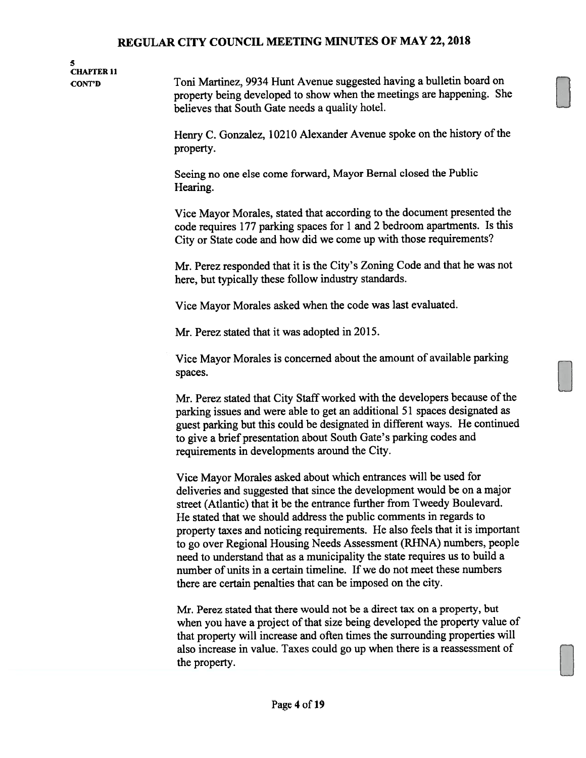# 5 CHAPTER 11

CONT'D Toni Martinez, 9934 Hunt Avenue suggested having a bulletin board on property being developed to show when the meetings are happening. She believes that South Gate needs a qualily hotel.

> Henry C. Gonzalez, 10210 Alexander Avenue spoke on the history of the property.

Seeing no one else come forward, Mayor Bemal closed the Public Hearing.

Vice Mayor Morales, stated that according to the document presented the code requires 177 parking spaces for <sup>1</sup> and 2 bedroom apartments. Is this City or State code and how did we come up with those requirements?

Mr. Perez responded that it is the City's Zoning Code and that he was not here, but typically these follow industry standards.

Vice Mayor Morales asked when the code was last evaluated.

Mr. Perez stated that it was adopted in 2015.

Vice Mayor Morales is concerned about the amount of available parking spaces.

Mr. Perez stated that City Staff worked with the developers because of the parking issues and were able to get an additional 51 spaces designated as guest parking but this could be designated in different ways. He continued to give a brief presentation about South Gate's parking codes and requirements in developments around the City.

Vice Mayor Morales asked about which entrances will be used for deliveries and suggested that since the development would be on a major street (Atlantic) that it be the entrance further from Tweedy Boulevard. He stated that we should address the public comments in regards to property taxes and noticing requirements. He also feels that it is important to go over Regional Housing Needs Assessment (RHNA) numbers, people need to understand that as a municipality the state requires us to build a number of units in a certain timeline. If we do not meet these numbers there are certain penalties that can be imposed on the city.

Mr. Perez stated that there would not be a direct tax on a property, but when you have a project of that size being developed the property value of that property will increase and often times the surrounding properties will also increase in value. Taxes could go up when there is a reassessment of the property.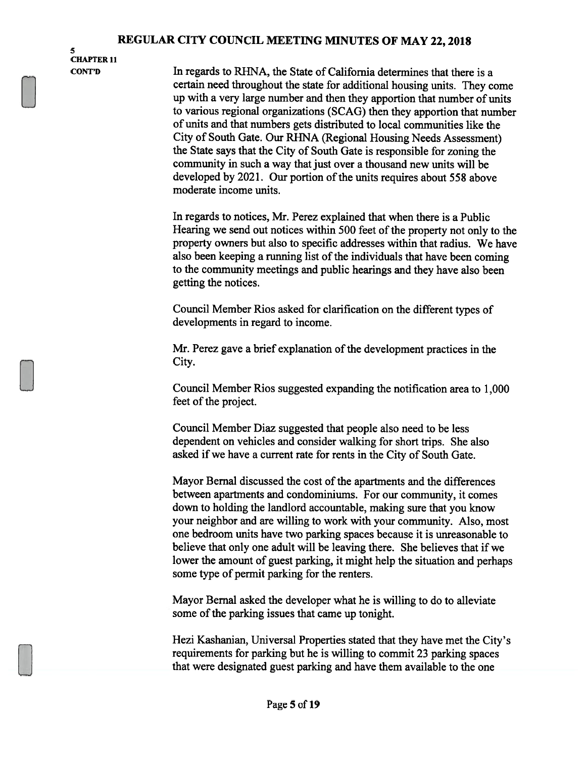5 CHAPTER 11

CONT'D In regards to RHNA, the State of California determines that there is a certain need throughout the state for additional housing units. They come up with a very large number and then they apportion that number of units to various regional organizations (SCAG) then they apportion that number of units and that numbers gets distributed to local communities like the City of South Gate. Our RHNA (Regional Housing Needs Assessment) the State says that the City of South Gate is responsible for zoning the community in such a way that just over a thousand new units will be developed by 2021. Our portion of the units requires about 558 above moderate income units.

> In regards to notices, Mr. Perez explained that when there is a Public Hearing we send out notices within 500 feet of the property not only to the property owners but also to specific addresses within that radius. We have also been keeping a running list of the individuals that have been coming to the community meetings and public hearings and they have also been getting the notices.

Council Member Rios asked for clarification on the different types of developments in regard to income.

Mr. Perez gave a brief explanation of the development practices in the City.

Council Member Rios suggested expanding the notification area to 1,000 feet of the project.

Council Member Diaz suggested that people also need to be less dependent on vehicles and consider walking for short trips. She also asked if we have a current rate for rents in the City of South Gate.

Mayor Bernal discussed the cost of the apartments and the differences between apartments and condominiums. For our community, it comes down to holding the landlord accountable, making sure that you know your neighbor and are willing to work with your community. Also, most one bedroom units have two parking spaces because it is unreasonable to believe that only one adult will be leaving there. She believes that if we lower the amount of guest parking, it might help the situation and perhaps some type of permit parking for the renters.

Mayor Bemal asked the developer what he is willing to do to alleviate some of the parking issues that came up tonight.

Hezi Kashanian, Universal Properties stated that they have met the City's requirements for parking but he is willing to commit 23 parking spaces that were designated guest parking and have them available to the one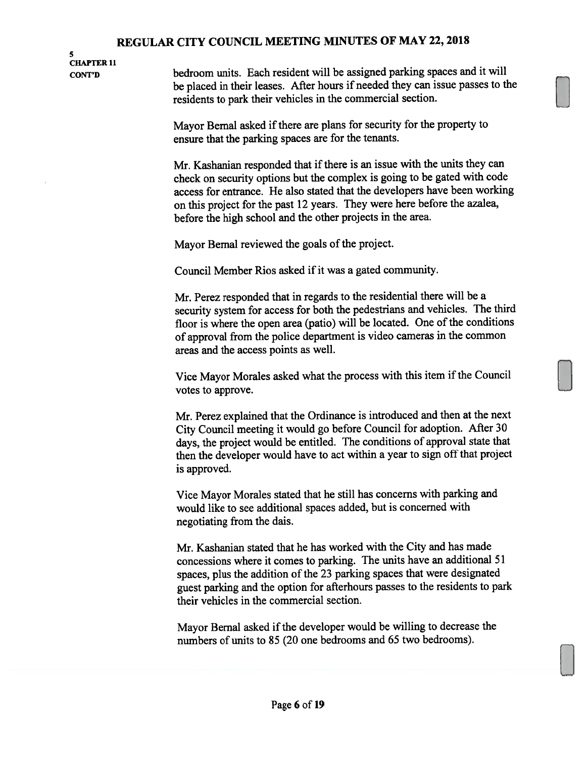5 CHAPTER 11

CONT'D bedroom units. Each resident will be assigned parking spaces and it will be <sup>p</sup>laced in their leases. After hours if needed they can issue passes to the residents to park their vehicles in the commercial section.

> Mayor Bernal asked if there are plans for security for the property to ensure that the parking spaces are for the tenants.

Mr. Kashanian responded that if there is an issue with the units they can check on security options but the complex is going to be gated with code access for entrance. He also stated that the developers have been working on this project for the pas<sup>t</sup> <sup>12</sup> years. They were here before the azalea, before the high school and the other projects in the area.

Mayor Bernal reviewed the goals of the project.

Council Member Rios asked if it was <sup>a</sup> gated community.

Mr. Perez responded that in regards to the residential there will be <sup>a</sup> security system for access for both the pedestrians and vehicles. The third floor is where the open area (patio) will be located. One of the conditions of approva<sup>l</sup> from the police department is video cameras in the common areas and the access points as well.

Vice Mayor Morales asked what the process with this item if the Council votes to approve.

Mr. Perez explained that the Ordinance is introduced and then at the next City Council meeting it would go before Council for adoption. After <sup>30</sup> days, the project would be entitled. The conditions of approva<sup>l</sup> state that then the developer would have to act within <sup>a</sup> year to sign off that project is approved.

Vice Mayor Morales stated that he still has concerns with parking and would like to see additional spaces added, but is concerned with negotiating from the dais.

Mr. Kashanian stated that he has worked with the City and has made concessions where it comes to parking. The units have an additional <sup>51</sup> spaces, <sup>p</sup>lus the addition of the <sup>23</sup> parking spaces that were designated gues<sup>t</sup> parking and the option for afterhours passes to the residents to park their vehicles in the commercial section.

Mayor Bernal asked if the developer would be willing to decrease the numbers of units to 85 (20 one bedrooms and 65 two bedrooms).

LI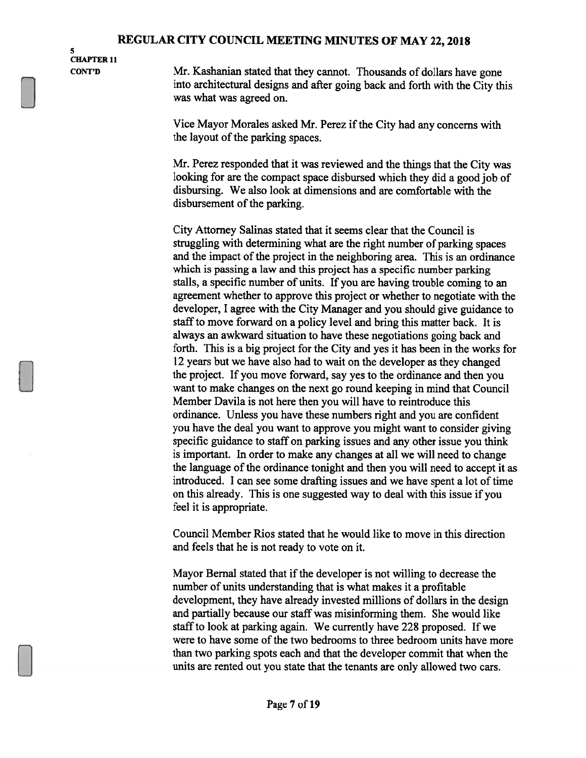S CHAPTER 11

CONT'D Mr. Kashanian stated that they cannot. Thousands of dollars have gone into architectural designs and after going back and forth with the City this was what was agreed on.

> Vice Mayor Morales asked Mr. Perez if the City had any concerns with the layout of the parking spaces.

Mr. Perez responded that it was reviewed and the things that the City was looking for are the compact space disbursed which they did a good job of disbursing. We also look at dimensions and are comfortable with the disbursement of the parking.

City Attorney Salinas stated that it seems clear that the Council is struggling with determining what are the right number of parking spaces and the impact of the project in the neighboring area. This is an ordinance which is passing a law and this project has a specific number parking stalls, a specific number of units. If you are having trouble coming to an agreement whether to approve this project or whether to negotiate with the developer, I agree with the City Manager and you should give guidance to staff to move forward on a policy level and bring this matter back. It is always an awkward situation to have these negotiations going back and forth. This is a big project for the City and yes it has been in the works for 12 years but we have also had to wait on the developer as they changed the project. If you move forward, say yes to the ordinance and then you want to make changes on the next go round keeping in mind that Council Member Davila is not here then you will have to reintroduce this ordinance. Unless you have these numbers right and you are confident you have the deal you want to approve you might want to consider giving specific guidance to staff on parking issues and any other issue you think is important. In order to make any changes at all we will need to change the language of the ordinance tonight and then you will need to accept it as introduced. I can see some drafting issues and we have spent a lot of time on this already. This is one suggested way to deal with this issue if you feel it is appropriate.

Council Member Rios stated that he would like to move in this direction and feels that he is not ready to vote on it.

Mayor Bernal stated that if the developer is not willing to decrease the number of units understanding that is what makes it a profitable development, they have already invested millions of dollars in the design and partially because our staff was misinforming them. She would like staff to look at parking again. We currently have 228 proposed. If we were to have some of the two bedrooms to three bedroom units have more than two parking spots each and that the developer commit that when the units are rented out you state that the tenants are only allowed two cars.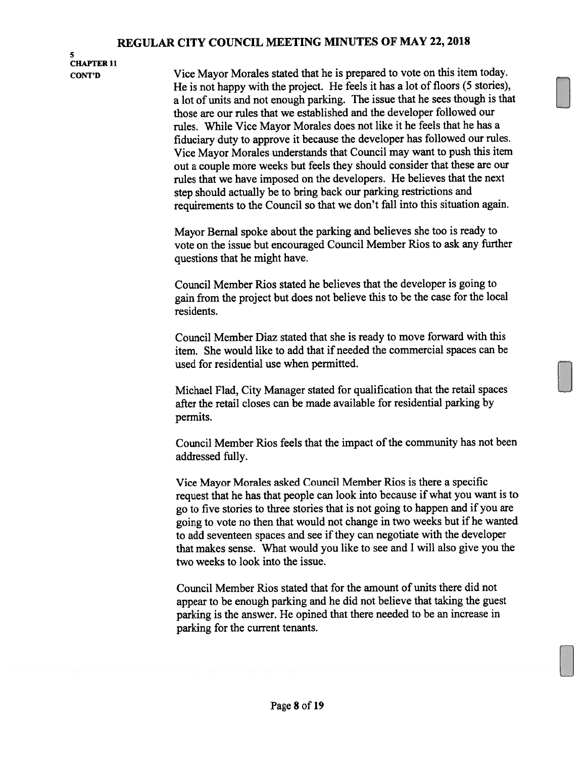## S CHAPTER 11

CONT'D Vice Mayor Morales stated that he is prepare<sup>d</sup> to vote on this item today. He is not happy with the project. He feels it has <sup>a</sup> lot of floors (5 stories), <sup>a</sup> lot of units and not enoug<sup>h</sup> parking. The issue that he sees though is that those are our rules that we established and the developer followed our rules. While Vice Mayor Morales does not like it he feels that he has <sup>a</sup> fiduciary duty to approve it because the developer has followed our rules. Vice Mayor Morales understands that Council may want to pus<sup>h</sup> this item out <sup>a</sup> couple more weeks but feels they should consider that these are our rules that we have imposed on the developers. He believes that the next step should actually be to bring back our parking restrictions and requirements to the Council so that we don't fall into this situation again.

> Mayor Bernal spoke about the parking and believes she too is ready to vote on the issue but encouraged Council Member Rios to ask any further questions that he might have.

> Council Member Rios stated he believes that the developer is going to gain from the project but does not believe this to be the case for the local residents.

> Council Member Diaz stated that she is ready to move forward with this item. She would like to add that if needed the commercial spaces can be used for residential use when permitted.

> Michael Flad, City Manager stated for qualification that the retail spaces after the retail closes can be made available for residential parking by permits.

Council Member Rios feels that the impact of the community has not been addressed fully.

Vice Mayor Morales asked Council Member Rios is there <sup>a</sup> specific reques<sup>t</sup> that he has that people can look into because if what you want is to go to five stories to three stories that is not going to happen and if you are going to vote no then that would not change in two weeks but if he wanted to add seventeen spaces and see if they can negotiate with the developer that makes sense. What would you like to see and <sup>I</sup> will also <sup>g</sup>ive you the two weeks to look into the issue.

Council Member Rios stated that for the amount of units there did not appear to be enoug<sup>h</sup> parking and he did not believe that taking the gues<sup>t</sup> parking is the answer. He opined that there needed to be an increase in parking for the current tenants.

LI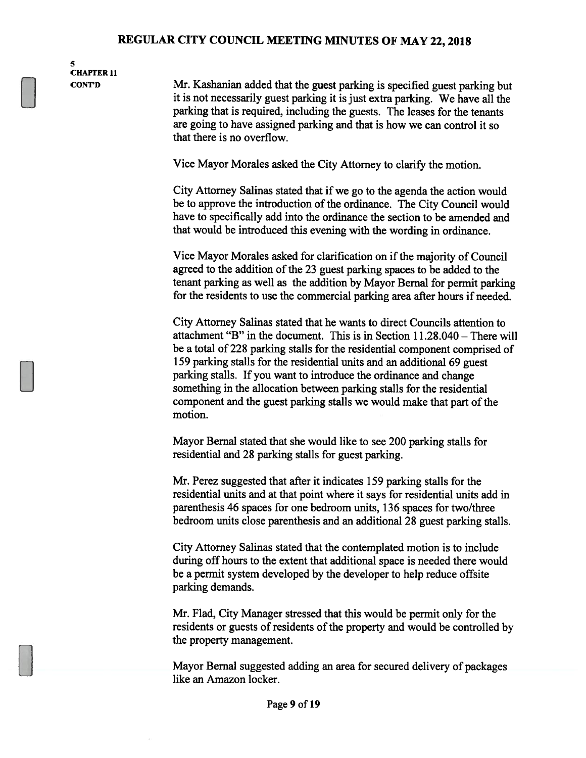S CHAPTER 11

CONT'D Mr. Kashanian added that the guest parking is specified guest parking but it is not necessarily guest parking it is just extra parking. We have all the parking that is required, including the guests. The leases for the tenants are going to have assigned parking and that is how we can control it so that there is no overflow.

Vice Mayor Morales asked the City Attorney to clarify the motion.

City Attorney Salinas stated that if we go to the agenda the action would be to approve the introduction of the ordinance. The City Council would have to specifically add into the ordinance the section to be amended and that would be introduced this evening with the wording in ordinance.

Vice Mayor Morales asked for clarification on if the majority of Council agreed to the addition of the 23 guest parking spaces to be added to the tenant parking as well as the addition by Mayor Bernal for permit parking for the residents to use the commercial parking area after hours if needed.

City Attorney Salinas stated that he wants to direct Councils attention to attachment "B" in the document. This is in Section 11.28.040 — There will be a total of 228 parking stalls for the residential component comprised of 159 parking stalls for the residential units and an additional 69 guest parking stalls. If you want to introduce the ordinance and change something in the allocation between parking stalls for the residential component and the guest parking stalls we would make that part of the motion.

Mayor Bernal stated that she would like to see 200 parking stalls for residential and 28 parking stalls for guest parking.

Mr. Perez suggested that after it indicates 159 parking stalls for the residential units and at that point where it says for residential units add in parenthesis 46 spaces for one bedroom units, 136 spaces for two/three bedroom units close parenthesis and an additional 28 guest parking stalls.

City Attorney Salinas stated that the contemplated motion is to include during off hours to the extent that additional space is needed there would be a permit system developed by the developer to help reduce offsite parking demands.

Mr. Flad, City Manager stressed that this would be permit only for the residents or guests of residents of the property and would be controlled by the property management.

Mayor Bernal suggested adding an area for secured delivery of packages like an Amazon locker.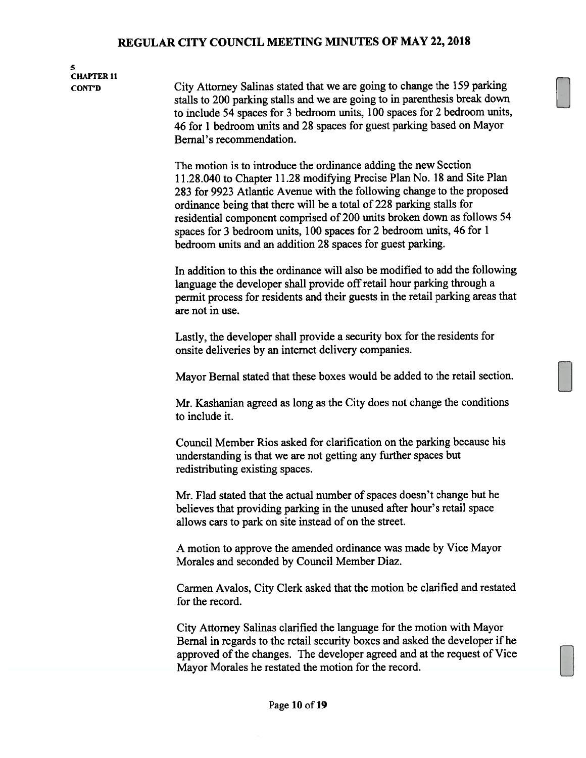5

## CHAPTER 11 CONT'D City Attorney Salinas stated that we are going to change the 159 parking stalls to 200 parking stalls and we are going to in parenthesis break down to include 54 spaces for <sup>3</sup> bedroom units, 100 spaces for 2 bedroom units, 46 for <sup>1</sup> bedroom units and 28 spaces for guest parking based on Mayor Bemal's recommendation. The motion is to introduce the ordinance adding the new Section 11.28.040 to Chapter 11.28 modifying Precise Plan No. 18 and Site Plan 283 for 9923 Atlantic Avenue with the following change to the proposed

ordinance being that there will be a total of 228 parking stalls for residential component comprised of 200 units broken down as follows 54 spaces for <sup>3</sup> bedroom units, 100 spaces for 2 bedroom units, 46 for <sup>1</sup> bedroom units and an addition 28 spaces for guest parking.

In addition to this the ordinance will also be modified to add the following language the developer shall provide off retail hour parking through a permit process for residents and their guests in the retail parking areas that are not in use.

Lastly, the developer shall provide a security box for the residents for onsite deliveries by an internet delivery companies.

Mayor Bernal stated that these boxes would be added to the retail section.

Mr. Kashanian agreed as long as the City does not change the conditions to include it.

Council Member Rios asked for clarification on the parking because his understanding is that we are not getting any further spaces but redistributing existing spaces.

Mr. Flad stated that the actual number of spaces doesn't change but he believes that providing parking in the unused after hour's retail space allows cars to park on site instead of on the street.

A motion to approve the amended ordinance was made by Vice Mayor Morales and seconded by Council Member Diaz.

Carmen Avalos, City Clerk asked that the motion be clarified and restated for the record.

City Attorney Salinas clarified the language for the motion with Mayor Bernal in regards to the retail security boxes and asked the developer if he approved of the changes. The developer agreed and at the request of Vice Mayor Morales he restated the motion for the record.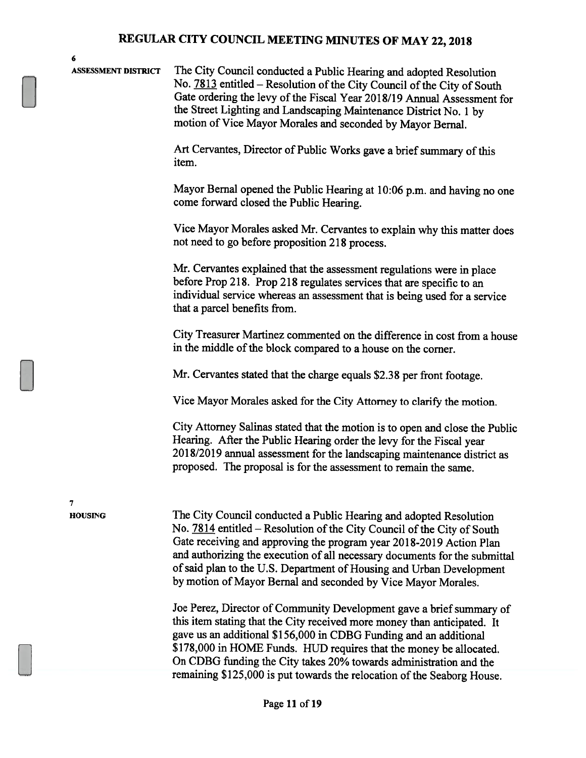| 6                          |                                                                                                                                                                                                                                                                                                                                                                                                                                             |
|----------------------------|---------------------------------------------------------------------------------------------------------------------------------------------------------------------------------------------------------------------------------------------------------------------------------------------------------------------------------------------------------------------------------------------------------------------------------------------|
| <b>ASSESSMENT DISTRICT</b> | The City Council conducted a Public Hearing and adopted Resolution<br>No. 7813 entitled – Resolution of the City Council of the City of South<br>Gate ordering the levy of the Fiscal Year 2018/19 Annual Assessment for<br>the Street Lighting and Landscaping Maintenance District No. 1 by<br>motion of Vice Mayor Morales and seconded by Mayor Bernal.                                                                                 |
|                            | Art Cervantes, Director of Public Works gave a brief summary of this<br>item.                                                                                                                                                                                                                                                                                                                                                               |
|                            | Mayor Bernal opened the Public Hearing at 10:06 p.m. and having no one<br>come forward closed the Public Hearing.                                                                                                                                                                                                                                                                                                                           |
|                            | Vice Mayor Morales asked Mr. Cervantes to explain why this matter does<br>not need to go before proposition 218 process.                                                                                                                                                                                                                                                                                                                    |
|                            | Mr. Cervantes explained that the assessment regulations were in place<br>before Prop 218. Prop 218 regulates services that are specific to an<br>individual service whereas an assessment that is being used for a service<br>that a parcel benefits from.                                                                                                                                                                                  |
|                            | City Treasurer Martinez commented on the difference in cost from a house<br>in the middle of the block compared to a house on the corner.                                                                                                                                                                                                                                                                                                   |
|                            | Mr. Cervantes stated that the charge equals \$2.38 per front footage.                                                                                                                                                                                                                                                                                                                                                                       |
|                            | Vice Mayor Morales asked for the City Attorney to clarify the motion.                                                                                                                                                                                                                                                                                                                                                                       |
|                            | City Attorney Salinas stated that the motion is to open and close the Public<br>Hearing. After the Public Hearing order the levy for the Fiscal year<br>2018/2019 annual assessment for the landscaping maintenance district as<br>proposed. The proposal is for the assessment to remain the same.                                                                                                                                         |
| 7<br><b>HOUSING</b>        | The City Council conducted a Public Hearing and adopted Resolution<br>No. 7814 entitled – Resolution of the City Council of the City of South<br>Gate receiving and approving the program year 2018-2019 Action Plan<br>and authorizing the execution of all necessary documents for the submittal<br>of said plan to the U.S. Department of Housing and Urban Development<br>by motion of Mayor Bernal and seconded by Vice Mayor Morales. |
|                            | Joe Perez, Director of Community Development gave a brief summary of<br>this item stating that the City received more money than anticipated. It<br>gave us an additional \$156,000 in CDBG Funding and an additional<br>\$178,000 in HOME Funds. HUD requires that the money be allocated.<br>On CDBG funding the City takes 20% towards administration and the                                                                            |
|                            | remaining \$125,000 is put towards the relocation of the Seaborg House.                                                                                                                                                                                                                                                                                                                                                                     |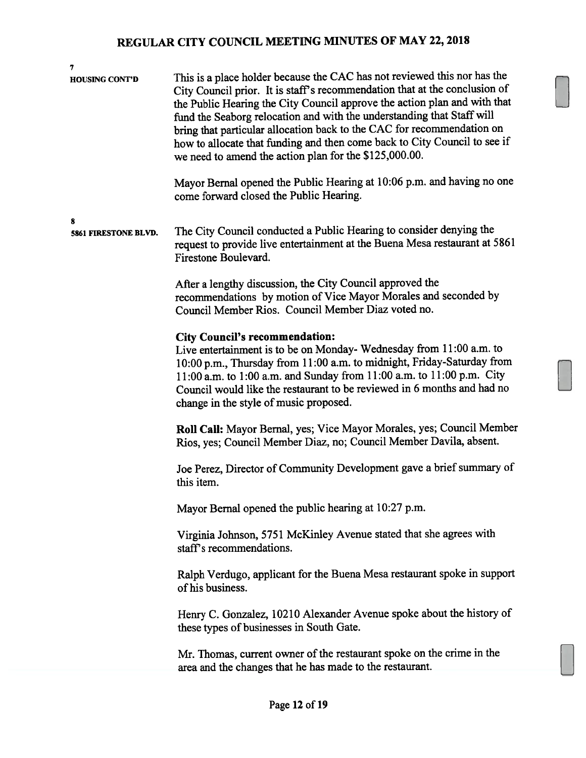| 7<br><b>HOUSING CONT'D</b> | This is a place holder because the CAC has not reviewed this nor has the<br>City Council prior. It is staff's recommendation that at the conclusion of<br>the Public Hearing the City Council approve the action plan and with that<br>fund the Seaborg relocation and with the understanding that Staff will<br>bring that particular allocation back to the CAC for recommendation on<br>how to allocate that funding and then come back to City Council to see if<br>we need to amend the action plan for the \$125,000.00.<br>Mayor Bernal opened the Public Hearing at 10:06 p.m. and having no one |
|----------------------------|----------------------------------------------------------------------------------------------------------------------------------------------------------------------------------------------------------------------------------------------------------------------------------------------------------------------------------------------------------------------------------------------------------------------------------------------------------------------------------------------------------------------------------------------------------------------------------------------------------|
|                            | come forward closed the Public Hearing.                                                                                                                                                                                                                                                                                                                                                                                                                                                                                                                                                                  |
| 8<br>5861 FIRESTONE BLVD.  | The City Council conducted a Public Hearing to consider denying the<br>request to provide live entertainment at the Buena Mesa restaurant at 5861<br>Firestone Boulevard.                                                                                                                                                                                                                                                                                                                                                                                                                                |
|                            | After a lengthy discussion, the City Council approved the<br>recommendations by motion of Vice Mayor Morales and seconded by<br>Council Member Rios. Council Member Diaz voted no.                                                                                                                                                                                                                                                                                                                                                                                                                       |
|                            | <b>City Council's recommendation:</b><br>Live entertainment is to be on Monday-Wednesday from 11:00 a.m. to<br>10:00 p.m., Thursday from 11:00 a.m. to midnight, Friday-Saturday from<br>11:00 a.m. to 1:00 a.m. and Sunday from 11:00 a.m. to 11:00 p.m. City<br>Council would like the restaurant to be reviewed in 6 months and had no<br>change in the style of music proposed.                                                                                                                                                                                                                      |
|                            | Roll Call: Mayor Bernal, yes; Vice Mayor Morales, yes; Council Member<br>Rios, yes; Council Member Diaz, no; Council Member Davila, absent.                                                                                                                                                                                                                                                                                                                                                                                                                                                              |
|                            | Joe Perez, Director of Community Development gave a brief summary of<br>this item.                                                                                                                                                                                                                                                                                                                                                                                                                                                                                                                       |
|                            | Mayor Bernal opened the public hearing at 10:27 p.m.                                                                                                                                                                                                                                                                                                                                                                                                                                                                                                                                                     |
|                            | Virginia Johnson, 5751 McKinley Avenue stated that she agrees with<br>staff's recommendations.                                                                                                                                                                                                                                                                                                                                                                                                                                                                                                           |
|                            | Ralph Verdugo, applicant for the Buena Mesa restaurant spoke in support<br>of his business.                                                                                                                                                                                                                                                                                                                                                                                                                                                                                                              |
|                            | Henry C. Gonzalez, 10210 Alexander Avenue spoke about the history of<br>these types of businesses in South Gate.                                                                                                                                                                                                                                                                                                                                                                                                                                                                                         |
|                            | Mr. Thomas, current owner of the restaurant spoke on the crime in the<br>area and the changes that he has made to the restaurant.                                                                                                                                                                                                                                                                                                                                                                                                                                                                        |
|                            |                                                                                                                                                                                                                                                                                                                                                                                                                                                                                                                                                                                                          |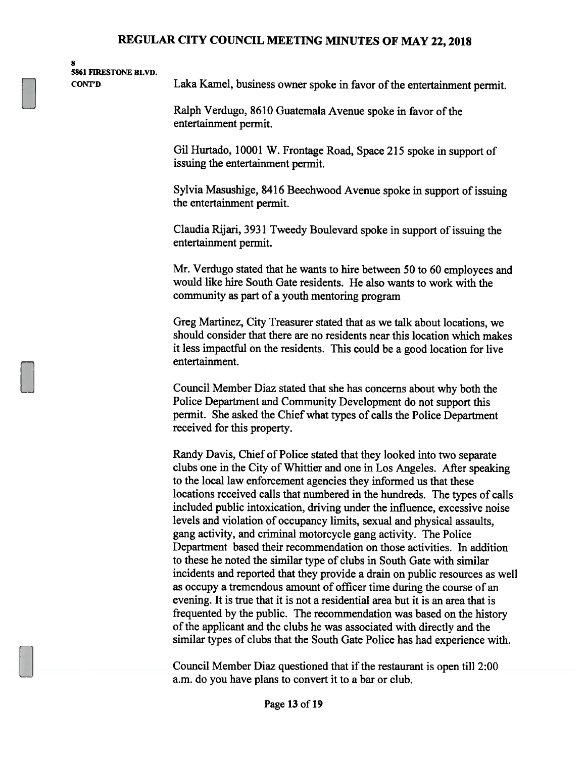| я                           |  |
|-----------------------------|--|
| <b>5861 FIRESTONE BLVD.</b> |  |
| CONT'D                      |  |

Laka Kamel, business owner spoke in favor of the entertainment permit.

Ralph Verdugo, 8610 Guatemala Avenue spoke in favor of the entertainment permit.

Gil Hurtado, 10001 W. Frontage Road, Space 215 spoke in support of issuing the entertainment permit.

Sylvia Masushige, 8416 Beechwood Avenue spoke in support of issuing the entertainment permit.

Claudia Rijari, 3931 Tweedy Boulevard spoke in support of issuing the entertainment permit.

Mr. Verdugo stated that he wants to hire between 50 to 60 employees and would like hire South Gate residents. He also wants to work with the community as part of a youth mentoring program

Greg Martinez, City Treasurer stated that as we talk about locations, we should consider that there are no residents near this location which makes it less impactful on the residents. This could be a good location for live entertainment.

Council Member Diaz stated that she has concerns about why both the Police Department and Community Development do not support this permit. She asked the Chief what types of calls the Police Department received for this property.

Randy Davis, Chief of Police stated that they looked into two separate clubs one in the City of Whittier and one in Los Angeles. After speaking to the local law enforcement agencies they informed us that these locations received calls that numbered in the hundreds. The types of calls included public intoxication, driving under the influence, excessive noise levels and violation of occupancy limits, sexual and physical assaults, gang activity, and criminal motorcycle gang activity. The Police Department based their recommendation on those activities. In addition to these he noted the similar type of clubs in South Gate with similar incidents and reported that they provide a drain on public resources as well as occupy a tremendous amount of officer time during the course of an evening. It is true that it is not a residential area but it is an area that is frequented by the public. The recommendation was based on the history of the applicant and the clubs he was associated with directly and the similar types of clubs that the South Gate Police has had experience with.

Council Member Diaz questioned that if the restaurant is open till 2:00 a.m. do you have plans to convert it to a bar or club.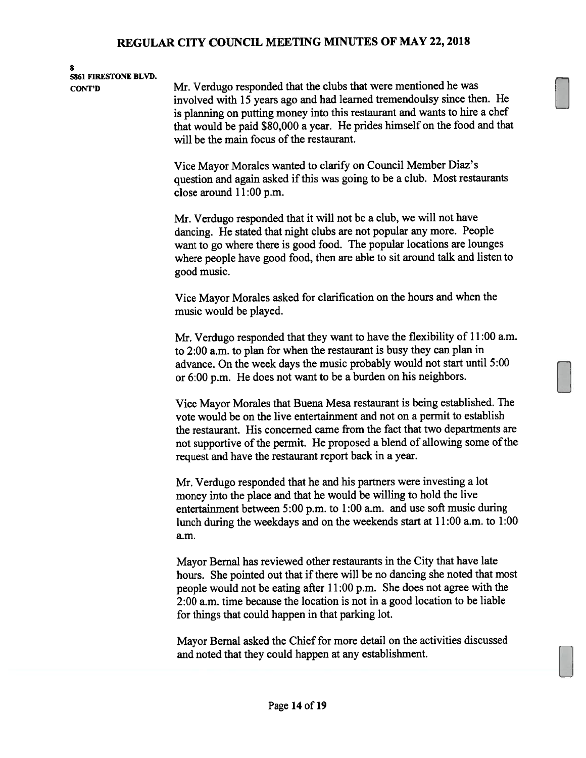# 8<br>5861 FIRESTONE BLVD.

CONT'D Mr. Verdugo responded that the clubs that were mentioned he was involved with <sup>15</sup> years ago and had learned tremendoulsy since then. He is <sup>p</sup>lanning on putting money into this restaurant and wants to hire <sup>a</sup> chef that would be paid \$80,000 <sup>a</sup> year. He prides himself on the food and that will be the main focus of the restaurant.

> Vice Mayor Morales wanted to clarify on Council Member Diaz's question and again asked if this was going to be a club. Most restaurants close around 11:00 p.m.

Mr. Verdugo responded that it will not be <sup>a</sup> club, we will not have dancing. He stated that night clubs are not popular any more. People want to go where there is goo<sup>d</sup> food. The popular locations are lounges where people have goo<sup>d</sup> food, then are able to sit around talk and listen to good music.

Vice Mayor Morales asked for clarification on the hours and when the music would be played.

Mr. Verdugo responded that they want to have the flexibility of 11:00 a.m. to 2:00 a.m. to <sup>p</sup>lan for when the restaurant is busy they can <sup>p</sup>lan in advance. On the week days the music probably would not start until 5:00 or 6:00 p.m. He does not want to be <sup>a</sup> burden on his neighbors.

Vice Mayor Morales that Buena Mesa restaurant is being established. The vote would be on the live entertainment and not on <sup>a</sup> permit to establish the restaurant. His concerned came from the fact that two departments are not supportive of the permit. He proposed a blend of allowing some of the reques<sup>t</sup> and have the restaurant repor<sup>t</sup> back in <sup>a</sup> year.

Mr. Verdugo responded that he and his partners were investing <sup>a</sup> lot money into the <sup>p</sup>lace and that he would be willing to hold the live entertainment between 5:00 p.m. to 1:00 a.m. and use soft music during lunch during the weekdays and on the weekends start at 11:00 a.m. to 1:00 a.m.

Mayor Bernal has reviewed other restaurants in the City that have late hours. She pointed out that if there will be no dancing she noted that most people would not be eating after 11:00 p.m. She does not agree with the 2:00 a.m. time because the location is not in <sup>a</sup> good location to be liable for things that could happen in that parking lot.

Mayor Bernal asked the Chief for more detail on the activities discussed and noted that they could happen at any establishment.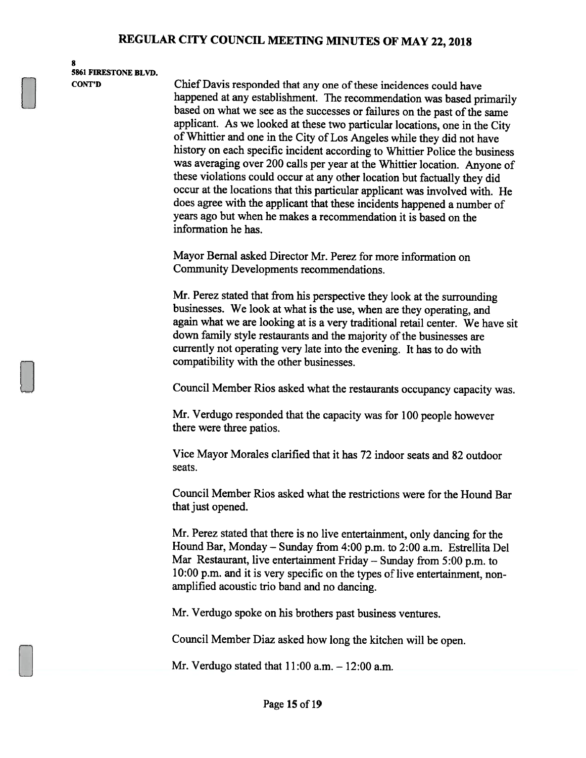8 5861 FIRESTONE BLVD.

CONT'D Chief Davis responded that any one of these incidences could have happened at any establishment. The recommendation was based primarily based on what we see as the successes or failures on the past of the same applicant. As we looked at these two particular locations, one in the City of Whittier and one in the City of Los Angeles while they did not have history on each specific incident according to Whittier Police the business was averaging over <sup>200</sup> calls per year at the Whittier location. Anyone of these violations could occur at any other location but factually they did occur at the locations that this particular applicant was involved with. He does agree with the applicant that these incidents happened <sup>a</sup> number of years ago but when he makes <sup>a</sup> recommendation it is based on the information he has.

> Mayor Bemal asked Director Mr. Perez for more information on Community Developments recommendations.

Mr. Perez stated that from his perspective they look at the surrounding businesses. We look at what is the use, when are they operating, and again what we are looking at is <sup>a</sup> very traditional retail center. We have sit down family style restaurants and the majority of the businesses are currently not operating very late into the evening. It has to do with compatibility with the other businesses.

Council Member Rios asked what the restaurants occupancy capacity was.

Mr. Verdugo responded that the capacity was for <sup>100</sup> people however there were three patios.

Vice Mayor Morales clarified that it has 72 indoor seats and 82 outdoor seats.

Council Member Rios asked what the restrictions were for the Hound Bar that just opened.

Mr. Perez stated that there is no live entertainment, only dancing for the Hound Bar, Monday — Sunday from 4:00 p.m. to 2:00 a.m. Estrellita Del Mar Restaurant, live entertainment Friday — Sunday from 5:00 p.m. to 10:00 p.m. and it is very specific on the types of live entertainment, nonamplified acoustic trio band and no dancing.

Mr. Verdugo spoke on his brothers past business ventures.

Council Member Diaz asked how long the kitchen will be open.

Mr. Verdugo stated that  $11:00$  a.m.  $-12:00$  a.m.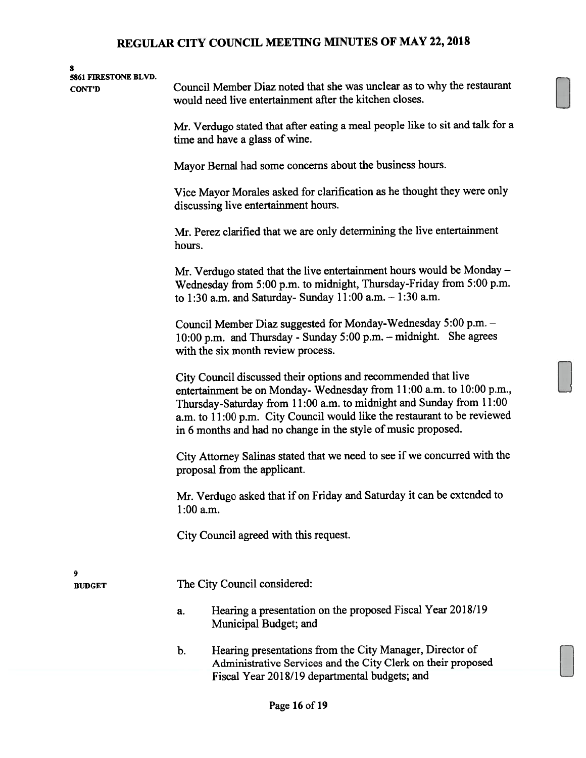| 8<br>5861 FIRESTONE BLVD.<br><b>CONT'D</b> | Council Member Diaz noted that she was unclear as to why the restaurant<br>would need live entertainment after the kitchen closes.<br>Mr. Verdugo stated that after eating a meal people like to sit and talk for a<br>time and have a glass of wine.<br>Mayor Bernal had some concerns about the business hours.<br>Vice Mayor Morales asked for clarification as he thought they were only<br>discussing live entertainment hours.<br>Mr. Perez clarified that we are only determining the live entertainment<br>hours.<br>Mr. Verdugo stated that the live entertainment hours would be Monday -<br>Wednesday from 5:00 p.m. to midnight, Thursday-Friday from 5:00 p.m.<br>to 1:30 a.m. and Saturday- Sunday 11:00 a.m. - 1:30 a.m.<br>Council Member Diaz suggested for Monday-Wednesday 5:00 p.m. -<br>10:00 p.m. and Thursday - Sunday 5:00 p.m. - midnight. She agrees<br>with the six month review process. |
|--------------------------------------------|----------------------------------------------------------------------------------------------------------------------------------------------------------------------------------------------------------------------------------------------------------------------------------------------------------------------------------------------------------------------------------------------------------------------------------------------------------------------------------------------------------------------------------------------------------------------------------------------------------------------------------------------------------------------------------------------------------------------------------------------------------------------------------------------------------------------------------------------------------------------------------------------------------------------|
|                                            | City Council discussed their options and recommended that live<br>entertainment be on Monday-Wednesday from 11:00 a.m. to 10:00 p.m.,<br>Thursday-Saturday from 11:00 a.m. to midnight and Sunday from 11:00<br>a.m. to 11:00 p.m. City Council would like the restaurant to be reviewed<br>in 6 months and had no change in the style of music proposed.                                                                                                                                                                                                                                                                                                                                                                                                                                                                                                                                                            |
|                                            | City Attorney Salinas stated that we need to see if we concurred with the<br>proposal from the applicant.                                                                                                                                                                                                                                                                                                                                                                                                                                                                                                                                                                                                                                                                                                                                                                                                            |
|                                            | Mr. Verdugo asked that if on Friday and Saturday it can be extended to<br>$1:00$ a.m.                                                                                                                                                                                                                                                                                                                                                                                                                                                                                                                                                                                                                                                                                                                                                                                                                                |
|                                            | City Council agreed with this request.                                                                                                                                                                                                                                                                                                                                                                                                                                                                                                                                                                                                                                                                                                                                                                                                                                                                               |
| 9<br><b>BUDGET</b>                         | The City Council considered:                                                                                                                                                                                                                                                                                                                                                                                                                                                                                                                                                                                                                                                                                                                                                                                                                                                                                         |
|                                            | Hearing a presentation on the proposed Fiscal Year 2018/19<br>a.<br>Municipal Budget; and                                                                                                                                                                                                                                                                                                                                                                                                                                                                                                                                                                                                                                                                                                                                                                                                                            |
|                                            | Hearing presentations from the City Manager, Director of<br>b.<br>Administrative Services and the City Clerk on their proposed                                                                                                                                                                                                                                                                                                                                                                                                                                                                                                                                                                                                                                                                                                                                                                                       |
|                                            | Fiscal Year 2018/19 departmental budgets; and                                                                                                                                                                                                                                                                                                                                                                                                                                                                                                                                                                                                                                                                                                                                                                                                                                                                        |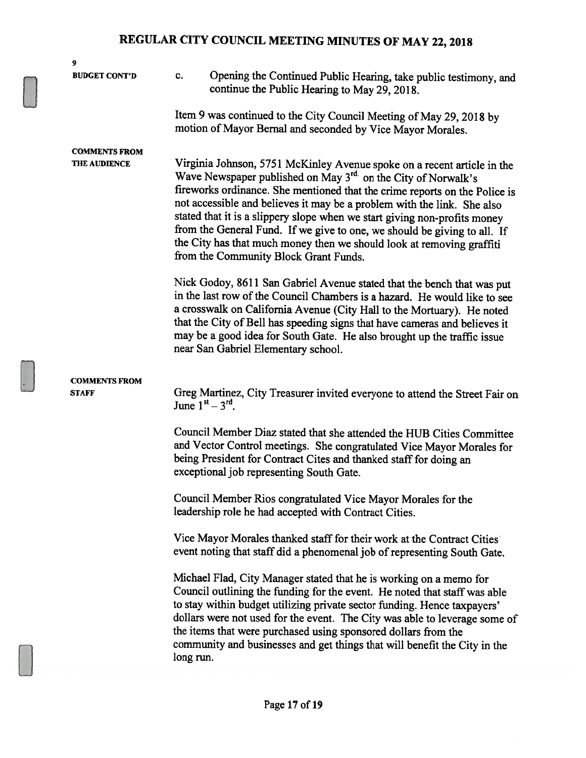| 9                                           |                                                                                                                                                                                                                                                                                                                                                                                                                                                                                                                                                                             |
|---------------------------------------------|-----------------------------------------------------------------------------------------------------------------------------------------------------------------------------------------------------------------------------------------------------------------------------------------------------------------------------------------------------------------------------------------------------------------------------------------------------------------------------------------------------------------------------------------------------------------------------|
| <b>BUDGET CONT'D</b>                        | Opening the Continued Public Hearing, take public testimony, and<br>c.<br>continue the Public Hearing to May 29, 2018.                                                                                                                                                                                                                                                                                                                                                                                                                                                      |
|                                             | Item 9 was continued to the City Council Meeting of May 29, 2018 by<br>motion of Mayor Bernal and seconded by Vice Mayor Morales.                                                                                                                                                                                                                                                                                                                                                                                                                                           |
| <b>COMMENTS FROM</b><br><b>THE AUDIENCE</b> | Virginia Johnson, 5751 McKinley Avenue spoke on a recent article in the<br>Wave Newspaper published on May 3rd on the City of Norwalk's<br>fireworks ordinance. She mentioned that the crime reports on the Police is<br>not accessible and believes it may be a problem with the link. She also<br>stated that it is a slippery slope when we start giving non-profits money<br>from the General Fund. If we give to one, we should be giving to all. If<br>the City has that much money then we should look at removing graffiti<br>from the Community Block Grant Funds. |
|                                             | Nick Godoy, 8611 San Gabriel Avenue stated that the bench that was put<br>in the last row of the Council Chambers is a hazard. He would like to see<br>a crosswalk on California Avenue (City Hall to the Mortuary). He noted<br>that the City of Bell has speeding signs that have cameras and believes it<br>may be a good idea for South Gate. He also brought up the traffic issue<br>near San Gabriel Elementary school.                                                                                                                                               |
| <b>COMMENTS FROM</b><br><b>STAFF</b>        | Greg Martinez, City Treasurer invited everyone to attend the Street Fair on<br>June $1^{st} - 3^{rd}$ .                                                                                                                                                                                                                                                                                                                                                                                                                                                                     |
|                                             | Council Member Diaz stated that she attended the HUB Cities Committee<br>and Vector Control meetings. She congratulated Vice Mayor Morales for<br>being President for Contract Cites and thanked staff for doing an<br>exceptional job representing South Gate.                                                                                                                                                                                                                                                                                                             |
|                                             | Council Member Rios congratulated Vice Mayor Morales for the<br>leadership role he had accepted with Contract Cities.                                                                                                                                                                                                                                                                                                                                                                                                                                                       |
|                                             | Vice Mayor Morales thanked staff for their work at the Contract Cities<br>event noting that staff did a phenomenal job of representing South Gate.                                                                                                                                                                                                                                                                                                                                                                                                                          |
|                                             | Michael Flad, City Manager stated that he is working on a memo for<br>Council outlining the funding for the event. He noted that staff was able<br>to stay within budget utilizing private sector funding. Hence taxpayers'<br>dollars were not used for the event. The City was able to leverage some of<br>the items that were purchased using sponsored dollars from the<br>community and businesses and get things that will benefit the City in the<br>long run.                                                                                                       |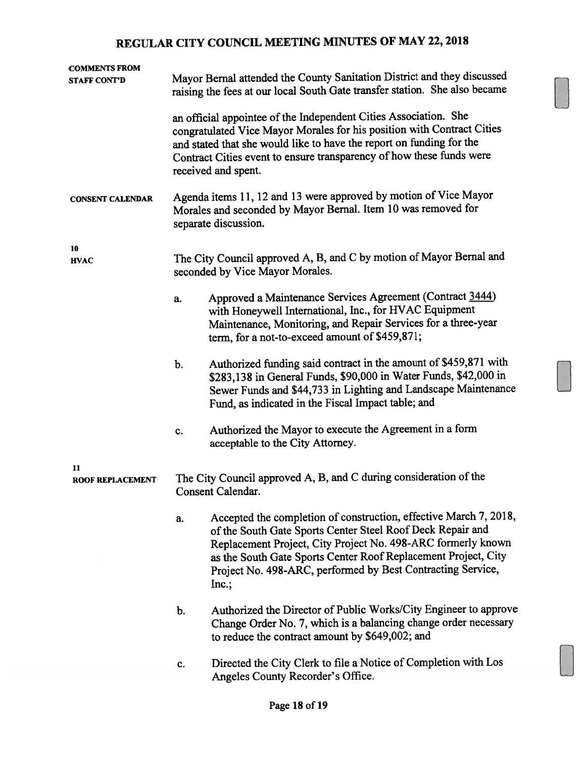| <b>COMMENTS FROM</b><br><b>STAFF CONT'D</b> | Mayor Bernal attended the County Sanitation District and they discussed<br>raising the fees at our local South Gate transfer station. She also became                                                                                                                                                             |                                                                                                                                                                                                                                                                                                                                           |  |  |
|---------------------------------------------|-------------------------------------------------------------------------------------------------------------------------------------------------------------------------------------------------------------------------------------------------------------------------------------------------------------------|-------------------------------------------------------------------------------------------------------------------------------------------------------------------------------------------------------------------------------------------------------------------------------------------------------------------------------------------|--|--|
|                                             | an official appointee of the Independent Cities Association. She<br>congratulated Vice Mayor Morales for his position with Contract Cities<br>and stated that she would like to have the report on funding for the<br>Contract Cities event to ensure transparency of how these funds were<br>received and spent. |                                                                                                                                                                                                                                                                                                                                           |  |  |
| <b>CONSENT CALENDAR</b>                     | Agenda items 11, 12 and 13 were approved by motion of Vice Mayor<br>Morales and seconded by Mayor Bernal. Item 10 was removed for<br>separate discussion.                                                                                                                                                         |                                                                                                                                                                                                                                                                                                                                           |  |  |
| 10<br><b>HVAC</b>                           |                                                                                                                                                                                                                                                                                                                   | The City Council approved A, B, and C by motion of Mayor Bernal and<br>seconded by Vice Mayor Morales.                                                                                                                                                                                                                                    |  |  |
|                                             | a.                                                                                                                                                                                                                                                                                                                | Approved a Maintenance Services Agreement (Contract 3444)<br>with Honeywell International, Inc., for HVAC Equipment<br>Maintenance, Monitoring, and Repair Services for a three-year<br>term, for a not-to-exceed amount of \$459,871;                                                                                                    |  |  |
|                                             | b.                                                                                                                                                                                                                                                                                                                | Authorized funding said contract in the amount of \$459,871 with<br>\$283,138 in General Funds, \$90,000 in Water Funds, \$42,000 in<br>Sewer Funds and \$44,733 in Lighting and Landscape Maintenance<br>Fund, as indicated in the Fiscal Impact table; and                                                                              |  |  |
|                                             | c.                                                                                                                                                                                                                                                                                                                | Authorized the Mayor to execute the Agreement in a form<br>acceptable to the City Attorney.                                                                                                                                                                                                                                               |  |  |
| 11<br><b>ROOF REPLACEMENT</b>               |                                                                                                                                                                                                                                                                                                                   | The City Council approved A, B, and C during consideration of the<br>Consent Calendar.                                                                                                                                                                                                                                                    |  |  |
|                                             | a.                                                                                                                                                                                                                                                                                                                | Accepted the completion of construction, effective March 7, 2018,<br>of the South Gate Sports Center Steel Roof Deck Repair and<br>Replacement Project, City Project No. 498-ARC formerly known<br>as the South Gate Sports Center Roof Replacement Project, City<br>Project No. 498-ARC, performed by Best Contracting Service,<br>Inc.; |  |  |
|                                             | b.                                                                                                                                                                                                                                                                                                                | Authorized the Director of Public Works/City Engineer to approve<br>Change Order No. 7, which is a balancing change order necessary<br>to reduce the contract amount by \$649,002; and                                                                                                                                                    |  |  |
|                                             | c.                                                                                                                                                                                                                                                                                                                | Directed the City Clerk to file a Notice of Completion with Los<br>Angeles County Recorder's Office.                                                                                                                                                                                                                                      |  |  |
|                                             |                                                                                                                                                                                                                                                                                                                   |                                                                                                                                                                                                                                                                                                                                           |  |  |